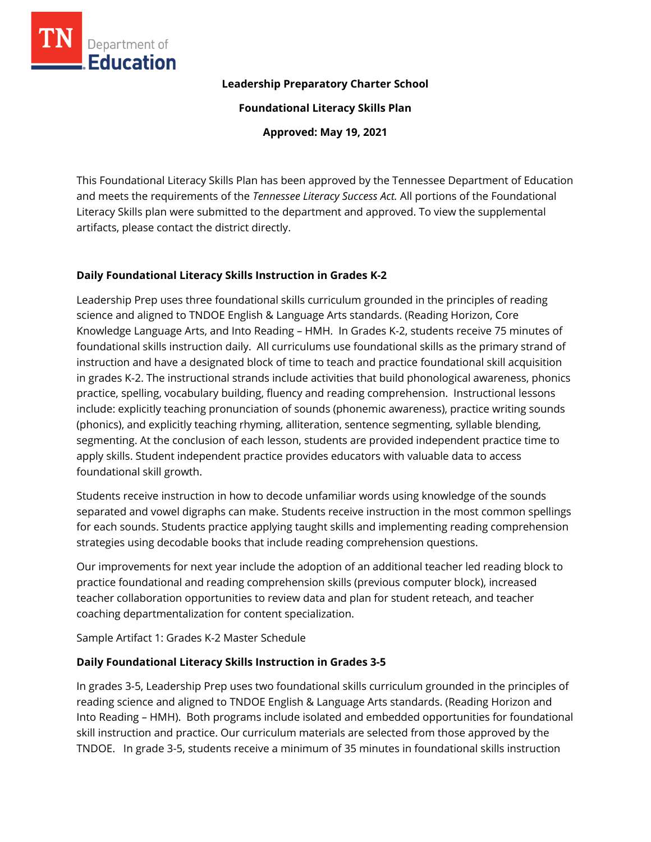

#### **Leadership Preparatory Charter School**

**Foundational Literacy Skills Plan**

**Approved: May 19, 2021**

This Foundational Literacy Skills Plan has been approved by the Tennessee Department of Education and meets the requirements of the *Tennessee Literacy Success Act.* All portions of the Foundational Literacy Skills plan were submitted to the department and approved. To view the supplemental artifacts, please contact the district directly.

### **Daily Foundational Literacy Skills Instruction in Grades K-2**

Leadership Prep uses three foundational skills curriculum grounded in the principles of reading science and aligned to TNDOE English & Language Arts standards. (Reading Horizon, Core Knowledge Language Arts, and Into Reading – HMH. In Grades K-2, students receive 75 minutes of foundational skills instruction daily. All curriculums use foundational skills as the primary strand of instruction and have a designated block of time to teach and practice foundational skill acquisition in grades K-2. The instructional strands include activities that build phonological awareness, phonics practice, spelling, vocabulary building, fluency and reading comprehension. Instructional lessons include: explicitly teaching pronunciation of sounds (phonemic awareness), practice writing sounds (phonics), and explicitly teaching rhyming, alliteration, sentence segmenting, syllable blending, segmenting. At the conclusion of each lesson, students are provided independent practice time to apply skills. Student independent practice provides educators with valuable data to access foundational skill growth.

Students receive instruction in how to decode unfamiliar words using knowledge of the sounds separated and vowel digraphs can make. Students receive instruction in the most common spellings for each sounds. Students practice applying taught skills and implementing reading comprehension strategies using decodable books that include reading comprehension questions.

Our improvements for next year include the adoption of an additional teacher led reading block to practice foundational and reading comprehension skills (previous computer block), increased teacher collaboration opportunities to review data and plan for student reteach, and teacher coaching departmentalization for content specialization.

Sample Artifact 1: Grades K-2 Master Schedule

### **Daily Foundational Literacy Skills Instruction in Grades 3-5**

In grades 3-5, Leadership Prep uses two foundational skills curriculum grounded in the principles of reading science and aligned to TNDOE English & Language Arts standards. (Reading Horizon and Into Reading – HMH). Both programs include isolated and embedded opportunities for foundational skill instruction and practice. Our curriculum materials are selected from those approved by the TNDOE. In grade 3-5, students receive a minimum of 35 minutes in foundational skills instruction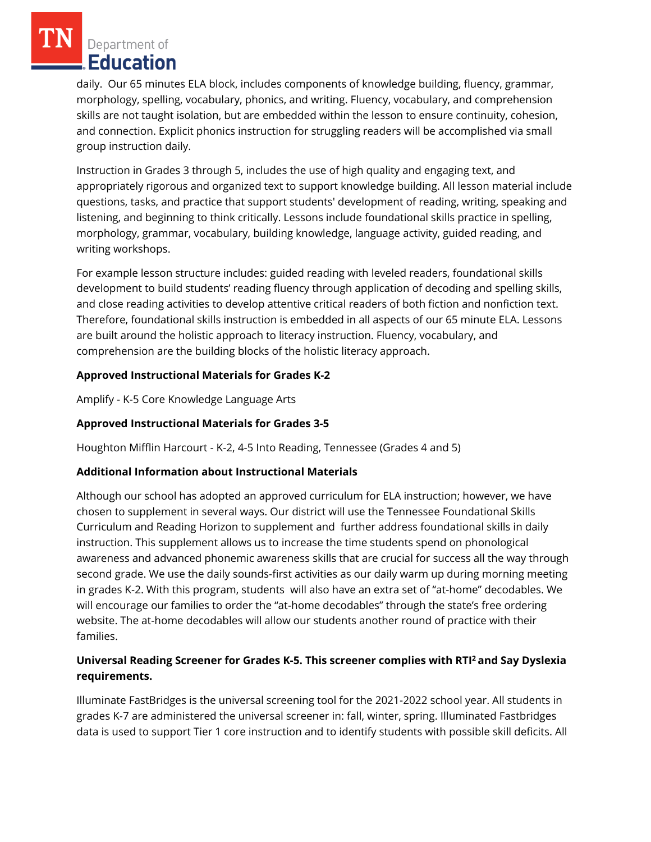daily. Our 65 minutes ELA block, includes components of knowledge building, fluency, grammar, morphology, spelling, vocabulary, phonics, and writing. Fluency, vocabulary, and comprehension skills are not taught isolation, but are embedded within the lesson to ensure continuity, cohesion, and connection. Explicit phonics instruction for struggling readers will be accomplished via small group instruction daily.

Instruction in Grades 3 through 5, includes the use of high quality and engaging text, and appropriately rigorous and organized text to support knowledge building. All lesson material include questions, tasks, and practice that support students' development of reading, writing, speaking and listening, and beginning to think critically. Lessons include foundational skills practice in spelling, morphology, grammar, vocabulary, building knowledge, language activity, guided reading, and writing workshops.

For example lesson structure includes: guided reading with leveled readers, foundational skills development to build students' reading fluency through application of decoding and spelling skills, and close reading activities to develop attentive critical readers of both fiction and nonfiction text. Therefore, foundational skills instruction is embedded in all aspects of our 65 minute ELA. Lessons are built around the holistic approach to literacy instruction. Fluency, vocabulary, and comprehension are the building blocks of the holistic literacy approach.

## **Approved Instructional Materials for Grades K-2**

Amplify - K-5 Core Knowledge Language Arts

# **Approved Instructional Materials for Grades 3-5**

Houghton Mifflin Harcourt - K-2, 4-5 Into Reading, Tennessee (Grades 4 and 5)

## **Additional Information about Instructional Materials**

Although our school has adopted an approved curriculum for ELA instruction; however, we have chosen to supplement in several ways. Our district will use the Tennessee Foundational Skills Curriculum and Reading Horizon to supplement and further address foundational skills in daily instruction. This supplement allows us to increase the time students spend on phonological awareness and advanced phonemic awareness skills that are crucial for success all the way through second grade. We use the daily sounds-first activities as our daily warm up during morning meeting in grades K-2. With this program, students will also have an extra set of "at-home" decodables. We will encourage our families to order the "at-home decodables" through the state's free ordering website. The at-home decodables will allow our students another round of practice with their families.

# **Universal Reading Screener for Grades K-5. This screener complies with RTI<sup>2</sup>and Say Dyslexia requirements.**

Illuminate FastBridges is the universal screening tool for the 2021-2022 school year. All students in grades K-7 are administered the universal screener in: fall, winter, spring. Illuminated Fastbridges data is used to support Tier 1 core instruction and to identify students with possible skill deficits. All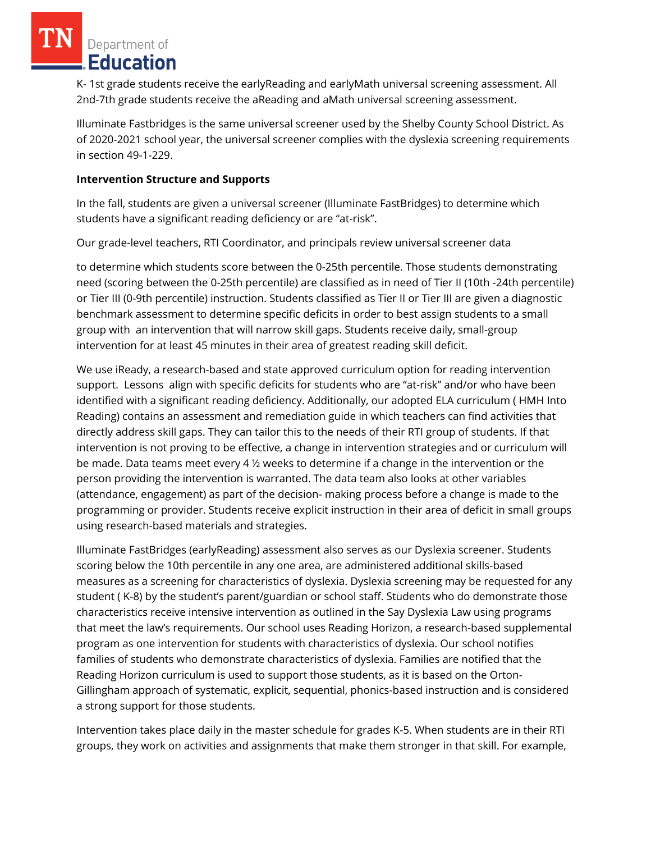K- 1st grade students receive the earlyReading and earlyMath universal screening assessment. All 2nd-7th grade students receive the aReading and aMath universal screening assessment.

Illuminate Fastbridges is the same universal screener used by the Shelby County School District. As of 2020-2021 school year, the universal screener complies with the dyslexia screening requirements in section 49-1-229.

#### **Intervention Structure and Supports**

In the fall, students are given a universal screener (Illuminate FastBridges) to determine which students have a significant reading deficiency or are "at-risk".

Our grade-level teachers, RTI Coordinator, and principals review universal screener data

to determine which students score between the 0-25th percentile. Those students demonstrating need (scoring between the 0-25th percentile) are classified as in need of Tier II (10th -24th percentile) or Tier III (0-9th percentile) instruction. Students classified as Tier II or Tier III are given a diagnostic benchmark assessment to determine specific deficits in order to best assign students to a small group with an intervention that will narrow skill gaps. Students receive daily, small-group intervention for at least 45 minutes in their area of greatest reading skill deficit.

We use iReady, a research-based and state approved curriculum option for reading intervention support. Lessons align with specific deficits for students who are "at-risk" and/or who have been identified with a significant reading deficiency. Additionally, our adopted ELA curriculum ( HMH Into Reading) contains an assessment and remediation guide in which teachers can find activities that directly address skill gaps. They can tailor this to the needs of their RTI group of students. If that intervention is not proving to be effective, a change in intervention strategies and or curriculum will be made. Data teams meet every 4 ½ weeks to determine if a change in the intervention or the person providing the intervention is warranted. The data team also looks at other variables (attendance, engagement) as part of the decision- making process before a change is made to the programming or provider. Students receive explicit instruction in their area of deficit in small groups using research-based materials and strategies.

Illuminate FastBridges (earlyReading) assessment also serves as our Dyslexia screener. Students scoring below the 10th percentile in any one area, are administered additional skills-based measures as a screening for characteristics of dyslexia. Dyslexia screening may be requested for any student ( K-8) by the student's parent/guardian or school staff. Students who do demonstrate those characteristics receive intensive intervention as outlined in the Say Dyslexia Law using programs that meet the law's requirements. Our school uses Reading Horizon, a research-based supplemental program as one intervention for students with characteristics of dyslexia. Our school notifies families of students who demonstrate characteristics of dyslexia. Families are notified that the Reading Horizon curriculum is used to support those students, as it is based on the Orton-Gillingham approach of systematic, explicit, sequential, phonics-based instruction and is considered a strong support for those students.

Intervention takes place daily in the master schedule for grades K-5. When students are in their RTI groups, they work on activities and assignments that make them stronger in that skill. For example,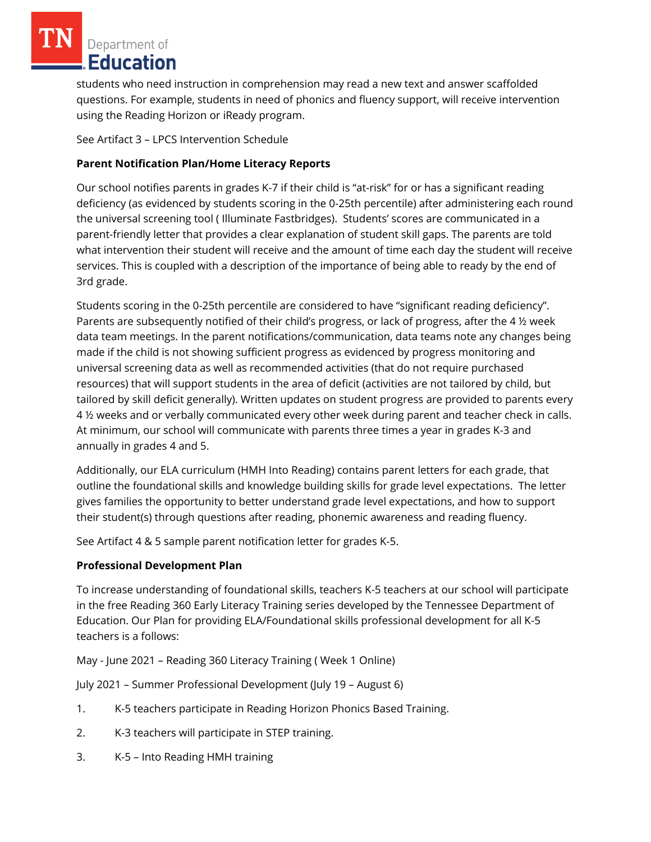students who need instruction in comprehension may read a new text and answer scaffolded questions. For example, students in need of phonics and fluency support, will receive intervention using the Reading Horizon or iReady program.

See Artifact 3 – LPCS Intervention Schedule

## **Parent Notification Plan/Home Literacy Reports**

Our school notifies parents in grades K-7 if their child is "at-risk" for or has a significant reading deficiency (as evidenced by students scoring in the 0-25th percentile) after administering each round the universal screening tool ( Illuminate Fastbridges). Students' scores are communicated in a parent-friendly letter that provides a clear explanation of student skill gaps. The parents are told what intervention their student will receive and the amount of time each day the student will receive services. This is coupled with a description of the importance of being able to ready by the end of 3rd grade.

Students scoring in the 0-25th percentile are considered to have "significant reading deficiency". Parents are subsequently notified of their child's progress, or lack of progress, after the 4 ½ week data team meetings. In the parent notifications/communication, data teams note any changes being made if the child is not showing sufficient progress as evidenced by progress monitoring and universal screening data as well as recommended activities (that do not require purchased resources) that will support students in the area of deficit (activities are not tailored by child, but tailored by skill deficit generally). Written updates on student progress are provided to parents every 4 ½ weeks and or verbally communicated every other week during parent and teacher check in calls. At minimum, our school will communicate with parents three times a year in grades K-3 and annually in grades 4 and 5.

Additionally, our ELA curriculum (HMH Into Reading) contains parent letters for each grade, that outline the foundational skills and knowledge building skills for grade level expectations. The letter gives families the opportunity to better understand grade level expectations, and how to support their student(s) through questions after reading, phonemic awareness and reading fluency.

See Artifact 4 & 5 sample parent notification letter for grades K-5.

## **Professional Development Plan**

To increase understanding of foundational skills, teachers K-5 teachers at our school will participate in the free Reading 360 Early Literacy Training series developed by the Tennessee Department of Education. Our Plan for providing ELA/Foundational skills professional development for all K-5 teachers is a follows:

May - June 2021 – Reading 360 Literacy Training ( Week 1 Online)

July 2021 – Summer Professional Development (July 19 – August 6)

- 1. K-5 teachers participate in Reading Horizon Phonics Based Training.
- 2. K-3 teachers will participate in STEP training.
- 3. K-5 Into Reading HMH training